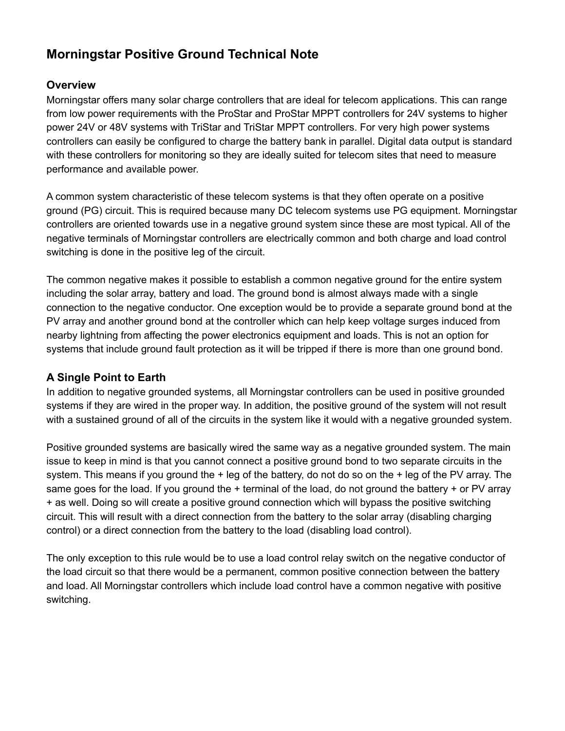# **Morningstar Positive Ground Technical Note**

## **Overview**

Morningstar offers many solar charge controllers that are ideal for telecom applications. This can range from low power requirements with the ProStar and ProStar MPPT controllers for 24V systems to higher power 24V or 48V systems with TriStar and TriStar MPPT controllers. For very high power systems controllers can easily be configured to charge the battery bank in parallel. Digital data output is standard with these controllers for monitoring so they are ideally suited for telecom sites that need to measure performance and available power.

A common system characteristic of these telecom systems is that they often operate on a positive ground (PG) circuit. This is required because many DC telecom systems use PG equipment. Morningstar controllers are oriented towards use in a negative ground system since these are most typical. All of the negative terminals of Morningstar controllers are electrically common and both charge and load control switching is done in the positive leg of the circuit.

The common negative makes it possible to establish a common negative ground for the entire system including the solar array, battery and load. The ground bond is almost always made with a single connection to the negative conductor. One exception would be to provide a separate ground bond at the PV array and another ground bond at the controller which can help keep voltage surges induced from nearby lightning from affecting the power electronics equipment and loads. This is not an option for systems that include ground fault protection as it will be tripped if there is more than one ground bond.

### **A Single Point to Earth**

In addition to negative grounded systems, all Morningstar controllers can be used in positive grounded systems if they are wired in the proper way. In addition, the positive ground of the system will not result with a sustained ground of all of the circuits in the system like it would with a negative grounded system.

Positive grounded systems are basically wired the same way as a negative grounded system. The main issue to keep in mind is that you cannot connect a positive ground bond to two separate circuits in the system. This means if you ground the + leg of the battery, do not do so on the + leg of the PV array. The same goes for the load. If you ground the  $+$  terminal of the load, do not ground the battery  $+$  or PV array + as well. Doing so will create a positive ground connection which will bypass the positive switching circuit. This will result with a direct connection from the battery to the solar array (disabling charging control) or a direct connection from the battery to the load (disabling load control).

The only exception to this rule would be to use a load control relay switch on the negative conductor of the load circuit so that there would be a permanent, common positive connection between the battery and load. All Morningstar controllers which include load control have a common negative with positive switching.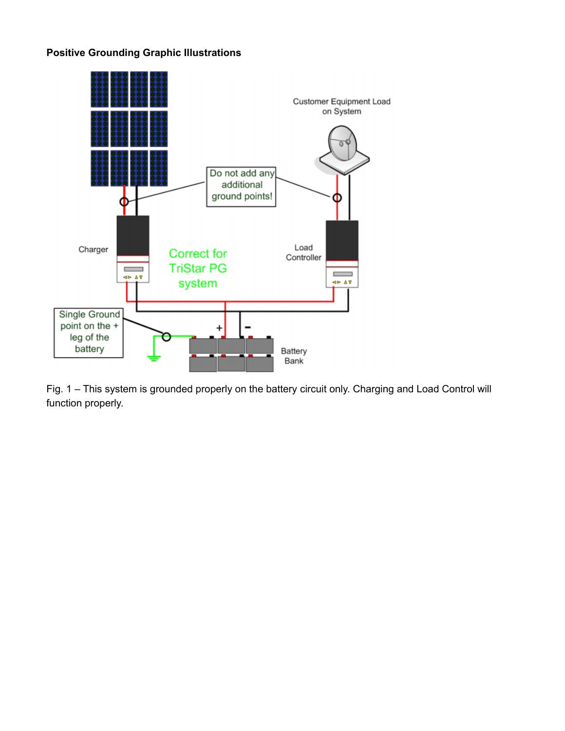# **Positive Grounding Graphic Illustrations**



Fig. 1 – This system is grounded properly on the battery circuit only. Charging and Load Control will function properly.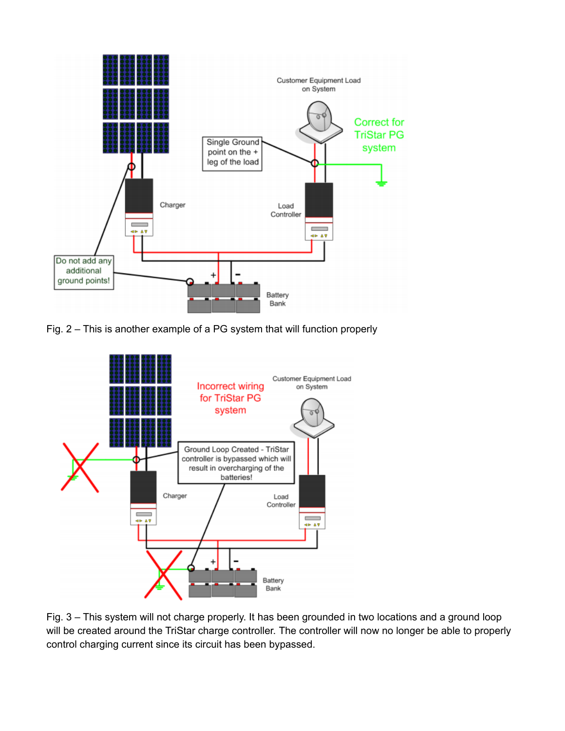

Fig. 2 – This is another example of a PG system that will function properly



Fig. 3 – This system will not charge properly. It has been grounded in two locations and a ground loop will be created around the TriStar charge controller. The controller will now no longer be able to properly control charging current since its circuit has been bypassed.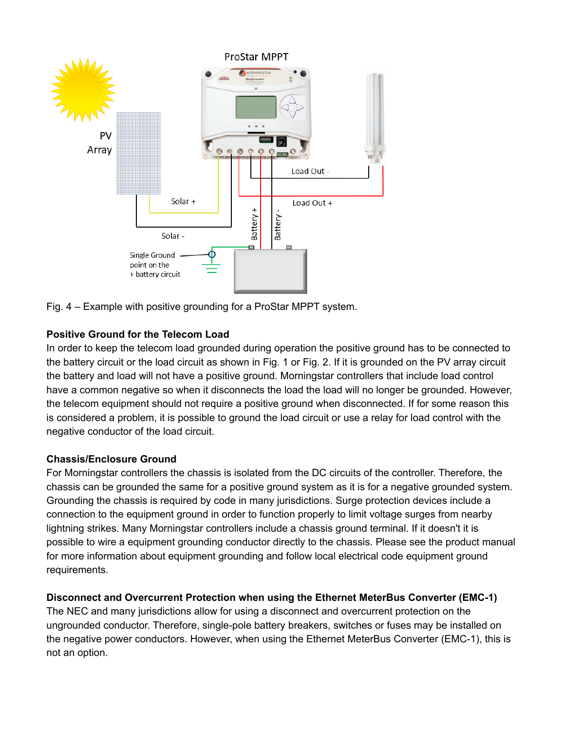

Fig. 4 – Example with positive grounding for a ProStar MPPT system.

## **Positive Ground for the Telecom Load**

In order to keep the telecom load grounded during operation the positive ground has to be connected to the battery circuit or the load circuit as shown in Fig. 1 or Fig. 2. If it is grounded on the PV array circuit the battery and load will not have a positive ground. Morningstar controllers that include load control have a common negative so when it disconnects the load the load will no longer be grounded. However, the telecom equipment should not require a positive ground when disconnected. If for some reason this is considered a problem, it is possible to ground the load circuit or use a relay for load control with the negative conductor of the load circuit.

### **Chassis/Enclosure Ground**

For Morningstar controllers the chassis is isolated from the DC circuits of the controller. Therefore, the chassis can be grounded the same for a positive ground system as it is for a negative grounded system. Grounding the chassis is required by code in many jurisdictions. Surge protection devices include a connection to the equipment ground in order to function properly to limit voltage surges from nearby lightning strikes. Many Morningstar controllers include a chassis ground terminal. If it doesn't it is possible to wire a equipment grounding conductor directly to the chassis. Please see the product manual for more information about equipment grounding and follow local electrical code equipment ground requirements.

# **Disconnect and Overcurrent Protection when using the Ethernet MeterBus Converter (EMC-1)**

The NEC and many jurisdictions allow for using a disconnect and overcurrent protection on the ungrounded conductor. Therefore, single-pole battery breakers, switches or fuses may be installed on the negative power conductors. However, when using the Ethernet MeterBus Converter (EMC-1), this is not an option.